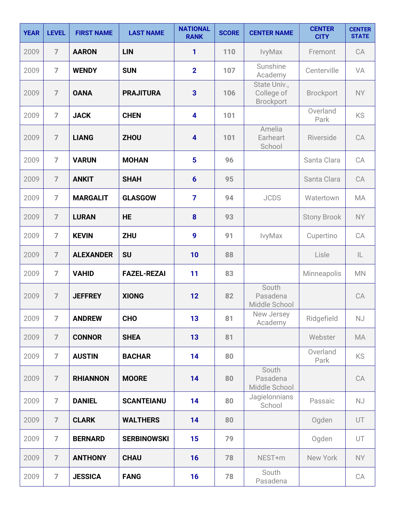| <b>YEAR</b> | <b>LEVEL</b>   | <b>FIRST NAME</b> | <b>LAST NAME</b>   | <b>NATIONAL</b><br><b>RANK</b> | <b>SCORE</b> | <b>CENTER NAME</b>                             | <b>CENTER</b><br><b>CITY</b> | <b>CENTER</b><br><b>STATE</b> |
|-------------|----------------|-------------------|--------------------|--------------------------------|--------------|------------------------------------------------|------------------------------|-------------------------------|
| 2009        | $\overline{7}$ | <b>AARON</b>      | <b>LIN</b>         | 1                              | 110          | IvyMax                                         | Fremont                      | CA                            |
| 2009        | $\overline{7}$ | <b>WENDY</b>      | <b>SUN</b>         | $\overline{2}$                 | 107          | Sunshine<br>Academy                            | Centerville                  | VA                            |
| 2009        | $\overline{7}$ | <b>OANA</b>       | <b>PRAJITURA</b>   | 3                              | 106          | State Univ.,<br>College of<br><b>Brockport</b> | <b>Brockport</b>             | <b>NY</b>                     |
| 2009        | $\overline{7}$ | <b>JACK</b>       | <b>CHEN</b>        | $\overline{\mathbf{4}}$        | 101          |                                                | Overland<br>Park             | KS                            |
| 2009        | $\overline{7}$ | <b>LIANG</b>      | <b>ZHOU</b>        | 4                              | 101          | Amelia<br>Earheart<br>School                   | Riverside                    | CA                            |
| 2009        | $\overline{7}$ | <b>VARUN</b>      | <b>MOHAN</b>       | 5                              | 96           |                                                | Santa Clara                  | CA                            |
| 2009        | $\overline{7}$ | <b>ANKIT</b>      | <b>SHAH</b>        | $6\phantom{1}6$                | 95           |                                                | Santa Clara                  | CA                            |
| 2009        | $\overline{7}$ | <b>MARGALIT</b>   | <b>GLASGOW</b>     | $\overline{7}$                 | 94           | <b>JCDS</b>                                    | Watertown                    | MA                            |
| 2009        | $\overline{7}$ | <b>LURAN</b>      | <b>HE</b>          | 8                              | 93           |                                                | <b>Stony Brook</b>           | <b>NY</b>                     |
| 2009        | $\overline{7}$ | <b>KEVIN</b>      | <b>ZHU</b>         | 9                              | 91           | IvyMax                                         | Cupertino                    | CA                            |
| 2009        | $\overline{7}$ | <b>ALEXANDER</b>  | <b>SU</b>          | 10                             | 88           |                                                | Lisle                        | $\mathsf{IL}$                 |
| 2009        | $\overline{7}$ | <b>VAHID</b>      | <b>FAZEL-REZAI</b> | 11                             | 83           |                                                | Minneapolis                  | <b>MN</b>                     |
| 2009        | $\overline{7}$ | <b>JEFFREY</b>    | <b>XIONG</b>       | 12                             | 82           | South<br>Pasadena<br>Middle School             |                              | CA                            |
| 2009        | $\overline{7}$ | <b>ANDREW</b>     | <b>CHO</b>         | 13                             | 81           | New Jersey<br>Academy                          | Ridgefield                   | NJ                            |
| 2009        | $\overline{7}$ | <b>CONNOR</b>     | <b>SHEA</b>        | 13                             | 81           |                                                | Webster                      | MA                            |
| 2009        | $\overline{7}$ | <b>AUSTIN</b>     | <b>BACHAR</b>      | 14                             | 80           |                                                | Overland<br>Park             | <b>KS</b>                     |
| 2009        | $\overline{7}$ | <b>RHIANNON</b>   | <b>MOORE</b>       | 14                             | 80           | South<br>Pasadena<br>Middle School             |                              | CA                            |
| 2009        | $\overline{7}$ | <b>DANIEL</b>     | <b>SCANTEIANU</b>  | 14                             | 80           | Jagielonnians<br>School                        | Passaic                      | <b>NJ</b>                     |
| 2009        | $\overline{7}$ | <b>CLARK</b>      | <b>WALTHERS</b>    | 14                             | 80           |                                                | Ogden                        | UT                            |
| 2009        | $\overline{7}$ | <b>BERNARD</b>    | <b>SERBINOWSKI</b> | 15                             | 79           |                                                | Ogden                        | UT                            |
| 2009        | $\overline{7}$ | <b>ANTHONY</b>    | <b>CHAU</b>        | 16                             | 78           | NEST+m                                         | New York                     | <b>NY</b>                     |
| 2009        | $\overline{7}$ | <b>JESSICA</b>    | <b>FANG</b>        | 16                             | 78           | South<br>Pasadena                              |                              | CA                            |